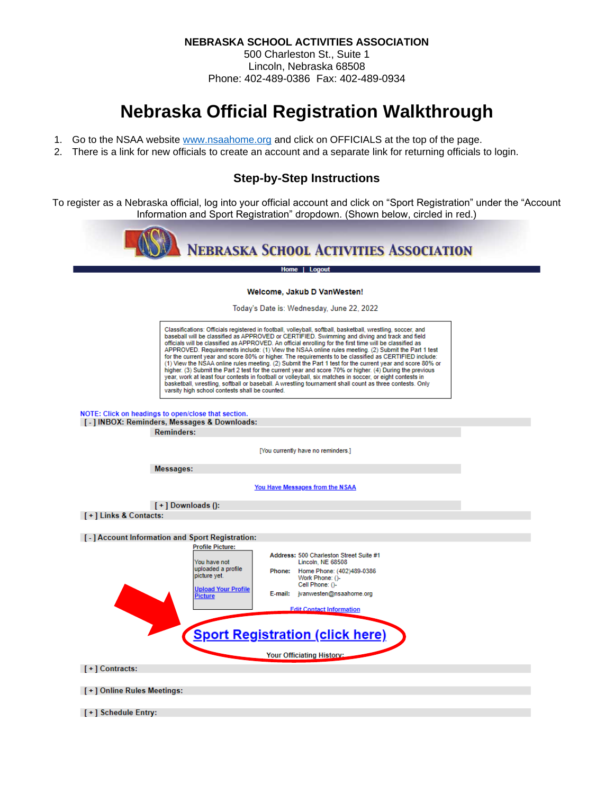**NEBRASKA SCHOOL ACTIVITIES ASSOCIATION**

500 Charleston St., Suite 1 Lincoln, Nebraska 68508 Phone: 402-489-0386 Fax: 402-489-0934

# **Nebraska Official Registration Walkthrough**

- 1. Go to the NSAA website [www.nsaahome.org](http://www.nsaahome.org/) and click on OFFICIALS at the top of the page.
- 2. There is a link for new officials to create an account and a separate link for returning officials to login.

### **Step-by-Step Instructions**

To register as a Nebraska official, log into your official account and click on "Sport Registration" under the "Account Information and Sport Registration" dropdown. (Shown below, circled in red.)



Home | Logout

#### Welcome, Jakub D VanWesten!

Today's Date is: Wednesday, June 22, 2022